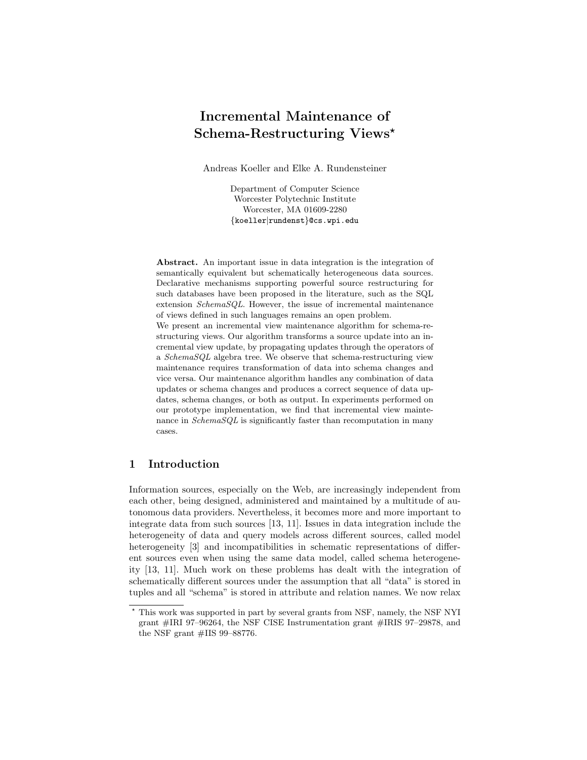# Schema-Restructuring Views\*

Andreas Koeller and Elke A. Rundensteiner

Department of Computer Science Worcester, MA 01609-2280 Worcester, MA 01609-2280 {koeller|rundenst}@cs.wpi.edu

Abstract. An important issue in data integration is the integration of semantically equivalent but schematically heterogeneous data sources. Declarative mechanisms supporting powerful source restructuring for such databases have been proposed in the literature, such as the SQL extension  $Schema SQL$ . However, the issue of incremental maintenance of views defined in such languages remains an open problem. We present an incremental view maintenance algorithm for schema-restructuring views. Our algorithm transforms a source update into an incremental view update, by propagating updates through the operators of a  $SchemaSQL$  algebra tree. We observe that schema-restructuring view maintenance requires transformation of data into schema-changes and vice versa. Our maintenance algorithm handles any combination of data updates or schema changes and produces a correct sequence of data updates, schema changes, or both as output. In experiments performed on

our prototype implementation, we find that incremental view maintenance in  $SchemaSQL$  is significantly faster than recomputation in many nance in SchemaSQL is significantly faster than recomputation in many

Information sources, especially on the Web, are increasingly independent from each other, being designed, administered and maintained by a multitude of autonomous data providers. Nevertheless, it becomes more and more important to integrate data from such sources  $[13, 11]$ . Issues in data integration include the heterogeneity of data and query models across different sources, called model heterogeneity  $\lceil 3 \rceil$  and incompatibilities in schematic representations of different sources even when using the same data model, called schema heterogeneity  $[13, 11]$ . Much work on these problems has dealt with the integration of schematically different sources under the assumption that all "data" is stored in tuples and all "schema" is stored in attribute and relation names. We now relax tuples and all "schema" is stored in attribute and relation names. We now relax

<sup>?</sup> This work was supported in part by several grants from NSF, namely, the NSF NYI grant  $\#IRI$  97–96264, the NSF CISE Instrumentation grant  $\#IRIS$  97–29878, and  $g$ -and  $g$ -rand  $H$ IRI 90–88776<br>the NSF creat #IIS 90–88776  $\frac{1}{2}$   $\frac{1}{2}$   $\frac{1}{2}$   $\frac{1}{2}$   $\frac{1}{2}$   $\frac{1}{2}$   $\frac{1}{2}$   $\frac{1}{2}$   $\frac{1}{2}$   $\frac{1}{2}$   $\frac{1}{2}$   $\frac{1}{2}$   $\frac{1}{2}$   $\frac{1}{2}$   $\frac{1}{2}$   $\frac{1}{2}$   $\frac{1}{2}$   $\frac{1}{2}$   $\frac{1}{2}$   $\frac{1}{2}$   $\frac{1}{2}$   $\frac{1}{2}$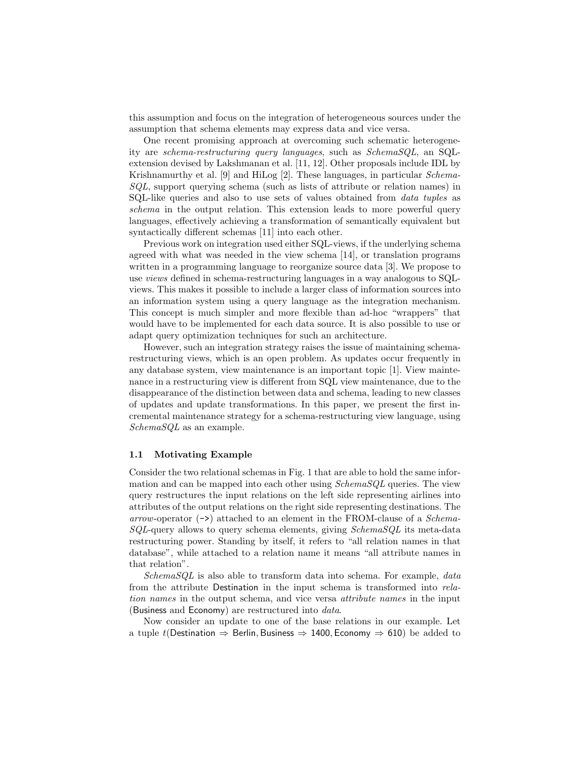this assumption and focus on the integration of heterogeneous sources under the assumption that schema elements may express data and vice versa.

One recent promising approach at overcoming such schematic heterogeneity are schema-restructuring query languages, such as  $SchemaSQL$ , an  $SQL$ extension devised by Lakshmanan et al.  $[11, 12]$ . Other proposals include IDL by Krishnamurthy et al. [9] and HiLog [2]. These languages, in particular  $Schema SQL$ , support querying schema (such as lists of attribute or relation names) in SQL-like queries and also to use sets of values obtained from  $data \ tuples$  as schema in the output relation. This extension leads to more powerful query languages, effectively achieving a transformation of semantically equivalent but syntactically different schemas  $[11]$  into each other.

Previous work on integration used either SQL-views, if the underlying schema agreed with what was needed in the view schema  $[14]$ , or translation programs written in a programming language to reorganize source data  $[3]$ . We propose to use *views* defined in schema-restructuring languages in a way analogous to SQLviews. This makes it possible to include a larger class of information sources into an information system using a query language as the integration mechanism. This concept is much simpler and more flexible than ad-hoc "wrappers" that would have to be implemented for each data source. It is also possible to use or adapt query optimization techniques for such an architecture.

However, such an integration strategy raises the issue of maintaining schemarestructuring views, which is an open problem. As updates occur frequently in any database system, view maintenance is an important topic [1]. View maintenance in a restructuring view is different from SQL view maintenance, due to the disappearance of the distinction between data and schema, leading to new classes of updates and update transformations. In this paper, we present the first incremental maintenance strategy for a schema-restructuring view language, using  $SchemaSOL$  as an example  $\mathcal{S}$ 

#### 1.1 Motivating Example

Consider the two relational schemas in Fig. 1 that are able to hold the same infor-<br>mation and can be mapped into each other using  $SchemaSQL$  queries. The view query restructures the input relations on the left side representing airlines into attributes of the output relations on the right side representing destinations. The arrow-operator  $(\rightarrow)$  attached to an element in the FROM-clause of a *Schema*- $SQL$ -query allows to query schema elements, giving  $SchemaSQL$  its meta-data restructuring power. Standing by itself, it refers to "all relation names in that restructuring power. Standing by itself, it refers to "all relations in that then<br>database" while attached to a relation name it means "all attribute names in database", while attached to a relation name it means "all attribute names in that relation".<br>Schemas $QL$  is also able to transform data into schema. For example, data

from the attribute Destination in the input schema is transformed into rela*tion names* in the output schema, and vice versa *attribute names* in the input (Business and Economy) are restructured into  $data$ .

Now consider an update to one of the base relations in our example. Let a tuple  $t$ (Destination  $\Rightarrow$  Berlin, Business  $\Rightarrow$  1400, Economy  $\Rightarrow$  610) be added to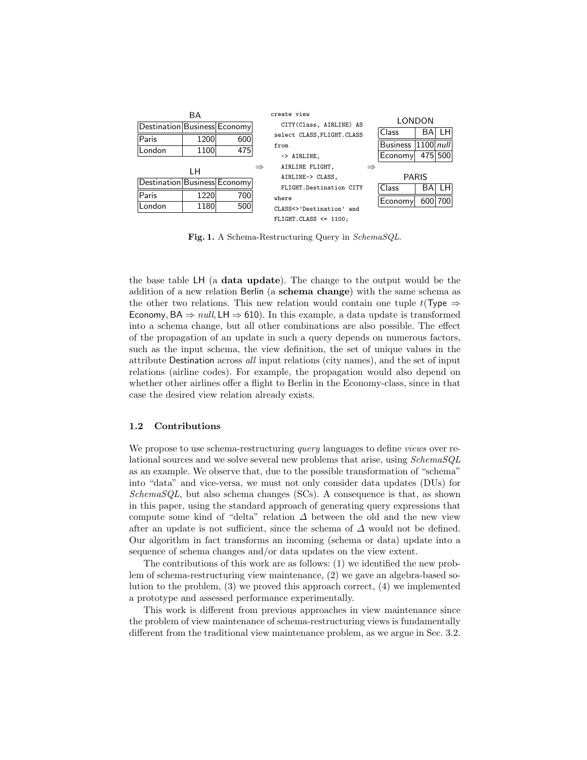|                              | BA   |     |               | create view                    |                 | LONDON        |         |
|------------------------------|------|-----|---------------|--------------------------------|-----------------|---------------|---------|
| Destination Business Economy |      |     |               | CITY(Class, AIRLINE) AS        | Class           | BAI           | LHI     |
| Paris                        | 1200 | 600 |               | select CLASS, FLIGHT. CLASS    |                 |               |         |
| London                       | 1100 | 475 |               | from                           | <b>Business</b> | $1100$ $null$ |         |
|                              |      |     | $\Rightarrow$ | -> AIRLINE.<br>AIRLINE FLIGHT, | Economy         |               | 475 500 |
|                              | LН   |     |               | AIRLINE-> CLASS.               |                 | <b>PARIS</b>  |         |
| Destination Business Economy |      |     |               | FLIGHT. Destination CITY       | Class           | ΒA            | LH.     |
| Paris                        | 1220 | 700 |               | where                          | Economy         |               | 600 700 |
| London                       | 1180 | 500 |               | CLASS<>'Destination' and       |                 |               |         |
|                              |      |     |               | FLIGHT CLASS $\leq$ 1100.      |                 |               |         |

Fig. 1. A Schema-Restructuring Query in SchemaSQL.

FLIGHT.CLASS CONTRACTOR

the base table LH (a **data update**). The change to the output would be the addition of a new relation Berlin (a **schema change**) with the same schema as the other two relations. This new relation would contain one tuple  $t$ (Type  $\Rightarrow$  Economy RA  $\Rightarrow null \cup \Rightarrow$  610) In this example a data undate is transformed Economy,  $BA \Rightarrow null$ ,  $LH \Rightarrow 610$ . In this example, a data update is transformed into a schema change, but all other combinations are also possible. The effect of the propagation of an update in such a query depends on numerous factors, such as the input schema, the view definition, the set of unique values in the attribute Destination across all input relations (city names), and the set of input relations (airline codes). For example, the propagation would also depend on whether other airlines offer a flight to Berlin in the Economy-class, since in that case the desired view relation already exists. case the desired view relation already exists.

We propose to use schema-restructuring *query* languages to define *views* over relational sources and we solve several new problems that arise, using  $SchemaSQL$ as an example. We observe that, due to the possible transformation of "schema" into "data" and vice-versa, we must not only consider data updates (DUs) for  $Schema SQL$ , but also schema changes (SCs). A consequence is that, as shown in this paper, using the standard approach of generating query expressions that compute some kind of "delta" relation  $\Delta$  between the old and the new view after an update is not sufficient, since the schema of  $\Delta$  would not be defined. Our algorithm in fact transforms an incoming (schema or data) update into a sequence of schema changes and/or data updates on the view extent.

The contributions of this work are as follows:  $(1)$  we identified the new prob- $Iem$  of schema-restructuring view maintenance,  $(2)$  we gave an algebra-based solution to the problem,  $(3)$  we proved this approach correct,  $(4)$  we implemented a prototype and assessed performance experimentally.

This work is different from previous approaches in view maintenance since the problem of view maintenance of schema-restructuring views is fundamentally different from the traditional view maintenance problem, as we argue in Sec.  $3.2$ . different from the traditional view maintenance problem, as we argue in Sec. 3.2.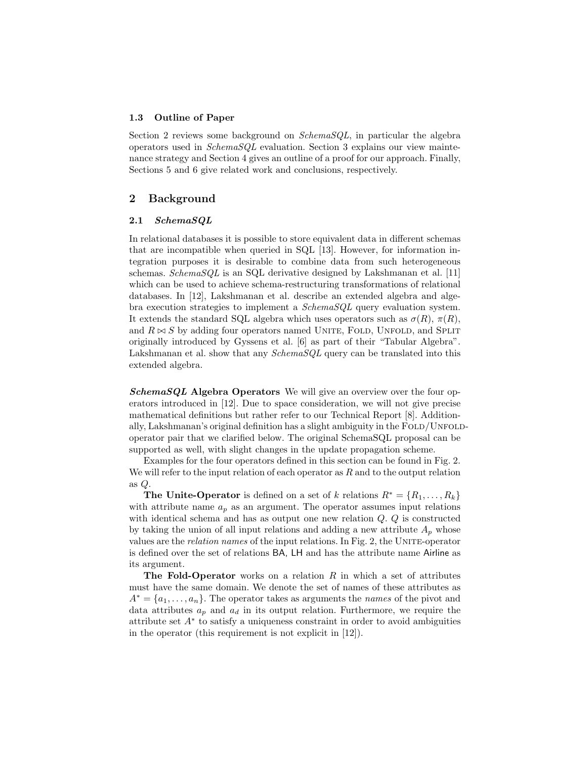### $\mathbf{1}$ .

Section 2 reviews some background on  $SchemaSQL$ , in particular the algebra<br>operators used in  $SchemaSQL$  evaluation. Section 3 explains our view maintenance strategy and Section 4 gives an outline of a proof for our approach. Finally, nance strategy and section 4 gives an outline or a proof for our approach. Finally, Sections 5 and 6 give related work and conclusions, respectively.

### 2 Background

### 2.1 SchemaSQL SchemaSQL

In relational databases it is possible to store equivalent data in different schemas that are incompatible when queried in SQL [13]. However, for information integration purposes it is desirable to combine data from such heterogeneous schemas. *SchemaSQL* is an SQL derivative designed by Lakshmanan et al. [11] which can be used to achieve schema-restructuring transformations of relational databases. In  $[12]$ , Lakshmanan et al. describe an extended algebra and algebra execution strategies to implement a  $Schema SQL$  query evaluation system. It extends the standard SQL algebra which uses operators such as  $\sigma(R)$ ,  $\pi(R)$ . and  $R \bowtie S$  by adding four operators named UNITE, FOLD, UNFOLD, and SPLIT originally introduced by Gyssens et al.  $[6]$  as part of their "Tabular Algebra". Lakshmanan et al. show that any  $Schema SQL$  query can be translated into this  $\mathbf{Q}$  and  $\mathbf{Q}$  and  $\mathbf{Q}$  and  $\mathbf{Q}$  and  $\mathbf{Q}$  and  $\mathbf{Q}$  and  $\mathbf{Q}$  are translated into the translated into the translated into the translated into the translated into the translated into the translated extended algebra.

**SchemaSQL Algebra Operators** We will give an overview over the four operators introduced in [12]. Due to space consideration, we will not give precise mathematical definitions but rather refer to our Technical Report [8]. Additionally, Lakshmanan's original definition has a slight ambiguity in the FOLD/UNFOLDoperator pair that we clarified below. The original SchemaSQL proposal can be supported as well, with slight changes in the update propagation scheme.

Examples for the four operators defined in this section can be found in Fig. 2. We will refer to the input relation of each operator as  $R$  and to the output relation We will refer to the input relation of each operator as R and to the output relations<br>as  $O$ 

**The Unite-Operator** is defined on a set of k relations  $R^* = \{R_1, \ldots, R_k\}$ <br>with attribute name a as an argument. The operator assumes input relations with attribute name  $a_p$  as an argument. The operator assumes input relations with identical schema and has as output one new relation  $Q$ .  $Q$  is constructed by taking the union of all input relations and adding a new attribute  $A_n$  whose values are the *relation names* of the input relations. In Fig. 2, the UNITE-operator values are the relation names of the input relations. In Fig. 2, the United-operators is defined over the set of relations BA, LH and has the attribute name Airline as its argument.<br>The Fold-Operator works on a relation  $R$  in which a set of attributes

must have the same domain. We denote the set of names of these attributes as  $A^* = \{a_1, \ldots, a_n\}$ . The operator takes as arguments the *names* of the pivot and data attributes as and  $a_i$  in its output relation. Furthermore, we require the attribute set  $A^*$  to satisfy a uniqueness constraint in order to avoid ambiguities<br>in the operator (this requirement is not explicit in [12]) in the operator (this requirement is not explicit in [12]).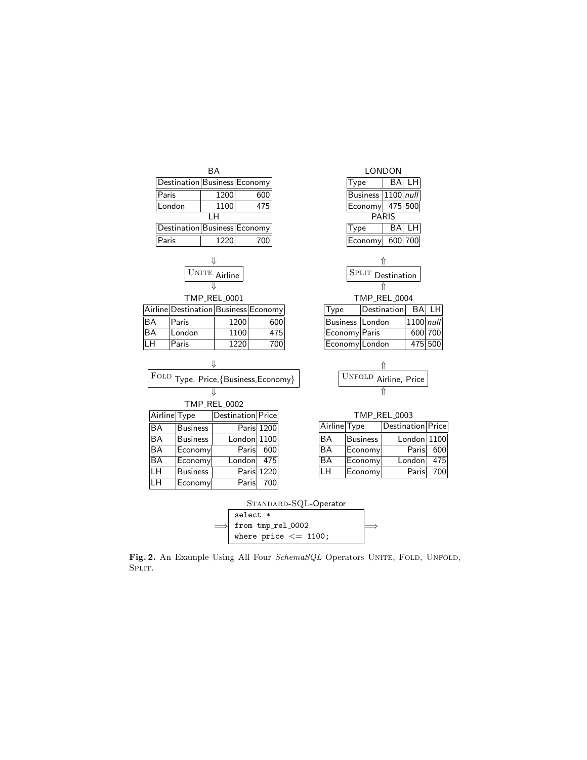|              |                                                                                 | <b>BA</b>           |                          |     |                                                   |    |              |      |                 | <b>LONDON</b>         |             |        |
|--------------|---------------------------------------------------------------------------------|---------------------|--------------------------|-----|---------------------------------------------------|----|--------------|------|-----------------|-----------------------|-------------|--------|
|              | Destination Business Economy                                                    |                     |                          |     |                                                   |    |              | Type |                 | BA LH                 |             |        |
| Paris        |                                                                                 | 1200                |                          | 600 |                                                   |    |              |      |                 | Business 1100 null    |             |        |
| London       |                                                                                 | 1100                |                          | 475 |                                                   |    |              |      | Economy         | 475 500               |             |        |
|              |                                                                                 | LН                  |                          |     |                                                   |    |              |      |                 | <b>PARIS</b>          |             |        |
|              | Destination Business Economy                                                    |                     |                          |     |                                                   |    |              | Type |                 | BA LH                 |             |        |
| Paris        |                                                                                 | 1220                |                          | 700 |                                                   |    |              |      | Economy         | 600 700               |             |        |
|              |                                                                                 |                     |                          |     |                                                   |    |              |      |                 |                       |             |        |
|              |                                                                                 | ⇓                   |                          |     |                                                   |    |              |      |                 |                       |             |        |
|              |                                                                                 | UNITE Airline       |                          |     |                                                   |    |              |      |                 | SPLIT Destination     |             |        |
|              |                                                                                 |                     |                          |     |                                                   |    |              |      |                 | ⇑                     |             |        |
|              |                                                                                 | <b>TMP_REL_0001</b> |                          |     |                                                   |    |              |      |                 | <b>TMP_REL_0004</b>   |             |        |
|              | Airline Destination Business Economy                                            |                     |                          |     |                                                   |    | Type         |      |                 | <b>Destination</b>    |             | BAI LH |
| <b>BA</b>    | Paris                                                                           |                     | 1200                     |     | 600                                               |    |              |      | Business London |                       | 1100 null   |        |
| ΒA           | London                                                                          |                     | 1100                     |     | 475                                               |    |              |      | Economy Paris   |                       | 600 700     |        |
| LН           | Paris                                                                           |                     | 1220                     |     | 700                                               |    |              |      | Economy London  |                       | 475 500     |        |
|              |                                                                                 |                     |                          |     |                                                   |    |              |      |                 |                       |             |        |
|              |                                                                                 |                     |                          |     |                                                   |    |              |      |                 |                       |             |        |
|              | $\textsc{FOLD}$ Type, $\textsc{Price}, \{\textsc{Business}, \textsc{Economy}\}$ |                     |                          |     |                                                   |    |              |      |                 | UNFOLD Airline, Price |             |        |
|              |                                                                                 | ⇓                   |                          |     |                                                   |    |              |      |                 | ⇑                     |             |        |
|              |                                                                                 | <b>TMP_REL_0002</b> |                          |     |                                                   |    |              |      |                 |                       |             |        |
| Airline Type |                                                                                 |                     | <b>Destination Price</b> |     |                                                   |    |              |      |                 | <b>TMP_REL_0003</b>   |             |        |
| BA           | <b>Business</b>                                                                 |                     | Paris 1200               |     |                                                   |    | Airline Type |      |                 | Destination Price     |             |        |
| BA           | <b>Business</b>                                                                 |                     | London 1100              |     |                                                   | BA |              |      | <b>Business</b> |                       | London 1100 |        |
| BA           | Economy                                                                         |                     | Paris                    | 600 |                                                   | BA |              |      | Economy         |                       | Paris       | 600    |
| ΒA           | Economy                                                                         |                     | London                   | 475 |                                                   | BA |              |      | Economy         |                       | London      | 475    |
| LН           | <b>Business</b>                                                                 |                     | Paris 1220               |     |                                                   | LН |              |      | Economy         |                       | Paris       | 700    |
| LН           | Economy                                                                         |                     | Paris                    | 700 |                                                   |    |              |      |                 |                       |             |        |
|              |                                                                                 |                     |                          |     |                                                   |    |              |      |                 |                       |             |        |
|              |                                                                                 |                     |                          |     | STANDARD-SQL-Operator                             |    |              |      |                 |                       |             |        |
|              |                                                                                 |                     | select *                 |     |                                                   |    |              |      |                 |                       |             |        |
|              |                                                                                 |                     |                          |     | from tmp_rel_0002<br>where price $\angle$ = 1100. |    |              |      |                 |                       |             |        |

Fig. 2. An Example Using All Four SchemaSQL Operators UNITE, FOLD, UNFOLD, SPLIT.

<u>where price  $\ddotsc$ </u>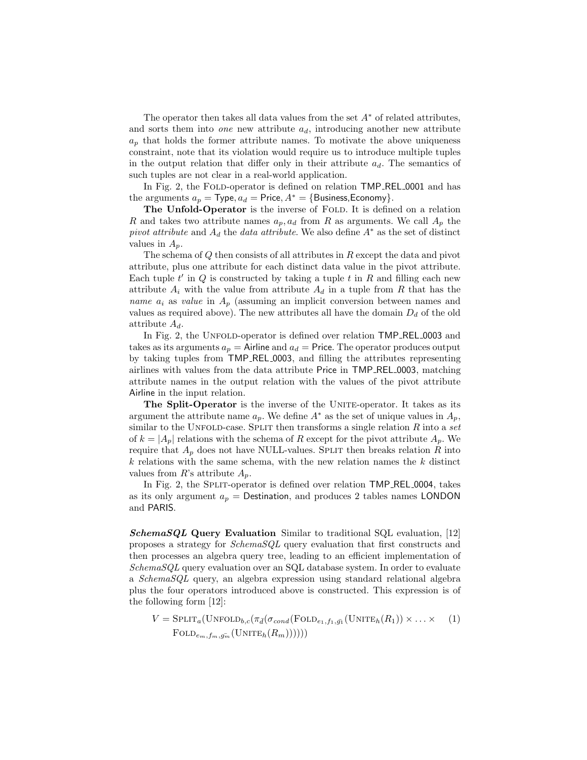The operator then takes all data values from the set  $A^*$  of related attributes, and sorts them into *one* new attribute  $a_d$ , introducing another new attribute  $a_p$  that holds the former attribute names. To motivate the above uniqueness constraint, note that its violation would require us to introduce multiple tuples in the output relation that differ only in their attribute  $a_d$ . The semantics of such tuples are not clear in a real-world application.

In Fig. 2, the FOLD-operator is defined on relation TMP-REL-0001 and has the arguments  $a_p = Type$ ,  $a_d = Price$ ,  $A^* = {Business, Economy}$ .<br>The Hnfold-Operator is the inverse of FOLD. It is defined on a relation

**The Unfold-Operator** is the inverse of FOLD. It is defined on a relation R and takes two attribute names  $a_p$ ,  $a_d$  from R as arguments. We call  $A_p$  the pivot attribute and  $A_d$  the data attribute. We also define  $A^*$  as the set of distinct values in  $A_p$ .<br>The schema of Q then consists of all attributes in R except the data and pivot

attribute, plus one attribute for each distinct data value in the pivot attribute. attribute, plus one attribute for each distinct data value in the pivot attribute.<br>Each tuple  $t'$  in  $\Omega$  is constructed by taking a tuple t in R and filling each new  $\frac{1}{2}$  in  $\frac{1}{2}$  is constructed by taking a tuple t in R and immig each new  $\frac{1}{2}$  is constructed by taking  $\frac{1}{2}$  in a tuple from R that has the *name*  $a_i$  as *value* in  $A_p$  (assuming an implicit conversion between names and  $\frac{1}{r}$  as  $\frac{1}{r}$  (assume  $\frac{1}{r}$  and  $\frac{1}{r}$  and  $\frac{1}{r}$  and  $\frac{1}{r}$  and  $\frac{1}{r}$  and  $\frac{1}{r}$  and  $\frac{1}{r}$  and  $\frac{1}{r}$  and  $\frac{1}{r}$  and  $\frac{1}{r}$  and  $\frac{1}{r}$  and  $\frac{1}{r}$  and  $\frac{1}{r}$  and  $\frac{1}{r}$ values as  $\frac{1}{4}$  above). The new attributes all  $\frac{1}{4}$  and  $\frac{1}{4}$  are domain Dd of the old  $\frac{1}{4}$ attribute  $A_d$ .<br>In Fig. 2, the UNFOLD-operator is defined over relation **TMP\_REL\_0003** and

takes as its arguments  $a_p =$  Airline and  $a_d =$  Price. The operator produces output by taking tuples from TMP\_REL\_0003, and filling the attributes representing airlines with values from the data attribute Price in TMP REL 0003, matching attribute names in the output relation with the values of the pivot attribute Airline in the input relation.

The Split-Operator is the inverse of the UNITE-operator. It takes as its argument the attribute name  $a_p$ . We define  $A^*$  as the set of unique values in  $A_p$ ,<br>similar to the UNFOLD-case. SplIT then transforms a single relation B into a set of  $k = |A_p|$  relations with the schema of R except for the pivot attribute  $A_p$ . We<br>require that A does not have NHLL-values. Split then breaks relation R into require that  $A_p$  does not have NULL-values. SPLIT then breaks relation R into k relations with the same schema, with the new relation names the k distinct values from R's attribute  $A_p$ .

In Fig. 2, the SPLIT-operator is defined over relation TMP\_REL\_0004, takes In Fig. 2, the Spirit-operator is defined over relation  $\sum_{n=1}^{\infty}$  Theorem (IQNDON) as the employment ap  $\frac{1}{p}$  = Defined by, and produces 2 tables names 2012 011 and Paris.

**SchemaSQL Query Evaluation** Similar to traditional SQL evaluation, [12] proposes a strategy for *SchemaSQL* query evaluation that first constructs and then processes an algebra query tree, leading to an efficient implementation of  $Schema SQL$  query evaluation over an SQL database system. In order to evaluate a  $SchemaSQL$  query, an algebra expression using standard relational algebra a  $\mathcal{L}_{\text{max}}$   $\mathcal{L}_{\text{max}}$  and  $\mathcal{L}_{\text{max}}$  and  $\mathcal{L}_{\text{max}}$  are  $\mathcal{L}_{\text{max}}$  and  $\mathcal{L}_{\text{max}}$  are  $\mathcal{L}_{\text{max}}$  and  $\mathcal{L}_{\text{max}}$  are  $\mathcal{L}_{\text{max}}$  and  $\mathcal{L}_{\text{max}}$  are  $\mathcal{L}_{\text{max}}$  and  $\mathcal{L}_{\text{max}}$  are  $\mathcal{L}_{$  $\frac{1}{2}$  the following form  $[19]$ . the following form [12]:

$$
V = \text{SPLIT}_a(\text{UNFOLD}_{b,c}(\pi_d(\sigma_{cond}(\text{FOLD}_{e_1,f_1,\bar{g_1}}(\text{UNITE}_h(R_1))) \times \dots \times \text{(1)}
$$
  

$$
\text{FOLD}_{e_m,f_m,g_m}(\text{UNITE}_h(R_m)))))
$$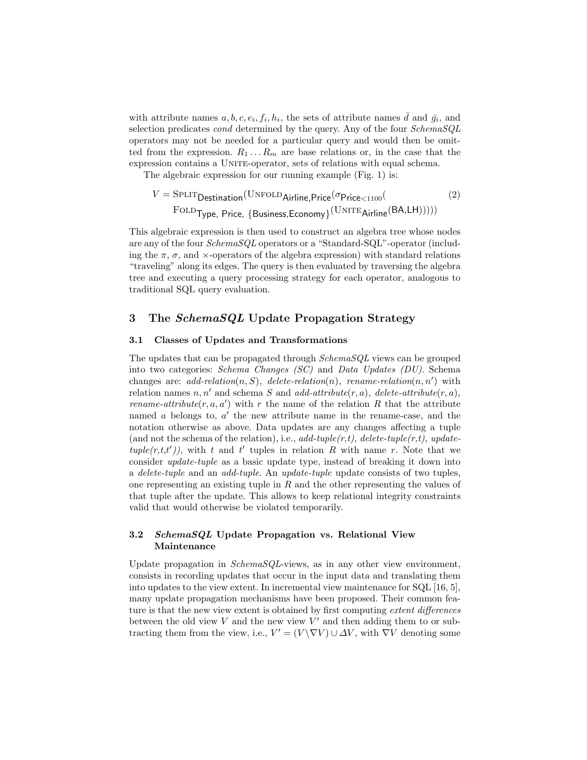with attribute names  $u, v, c, \epsilon_i, j_i, n_i$ , the sets of attribute names  $u$  and  $y_i$ , and<br>colocion prodicatos cond determined by the query. Any of the four *SchemaSOL* operators may not be needed for a particular query and would then be omit- $\overline{p}$  from the expression  $R$ .  $R$  are beso relations or in the case that the ted from the expression.  $R_1 \ldots R_m$  are base relations or, in the case that the expression contains a UNITE-operator sets of relations with equal schema

 $\frac{1}{\pi}$  The algebraic expression for our running example (Fig. 1) is: The algebraic expression for our running examples  $(5-9)$  is:

$$
V = \text{SPLIT} \text{Destination}(\text{UNFOLD} \text{Airline}, \text{Price}(\sigma \text{Price}_{1100}(\text{CDF} \text{DCE}))))
$$
\n
$$
\text{FOLD} \text{Type, Price, } \{\text{Business}, \text{Economy}\}(\text{UNITE} \text{Airline}(\text{BA}, \text{LH}))))
$$

This algebraic expression is then used to construct an algebra tree whose nodes are any of the four  $SchemaSQL$  operators or a "Standard-SQL"-operator (including the  $\pi$ ,  $\sigma$ , and  $\times$ -operators of the algebra expression) with standard relations "traveling" along its edges. The query is then evaluated by traversing the algebra "traveling" along its edges. The query is then evaluated by traversing the algebra  $\frac{1}{2}$  traditional SOL query evaluation  $\mathbf{C} = \mathbf{C} \mathbf{C} \mathbf{C}$ 

#### 3  $3^{\circ}$  The Schemas  $\frac{1}{3}$

### $\overline{\phantom{a}}$

The updates that can be propagated through  $SchemaSQL$  views can be grouped into two categories:  $Schema$  Changes  $(SC)$  and Data Updates  $(DU)$ . Schema changes are:  $add\text{-relation}(n, S)$ ,  $delete\text{-relation}(n)$ , rename-relation $(n, n')$  with relation names n n' and schema S and add-attribute(n, a) delete-attribute(n, a) relation names  $n, n'$  and schema S and add-attribute(r, a), delete-attribute(r, a),<br>rename-attribute(r, a, a') with r the name of the relation R that the attribute rename-attribute(r, a, a') with r the name of the relation R that the attribute named a belongs to,  $a'$  the new attribute name in the rename-case, and the notation otherwise as above. Data undates are any changes affecting a tuple notation otherwise as above. Data updates are any changes affecting a tuple (and not the schema of the relation), i.e.,  $add\text{-tuple}(r,t)$ ,  $delete\text{-tuple}(r,t)$ ,  $update\text{-}$  $\langle tuple(r, t, t') \rangle$ , with t and t' tuples in relation R with name r. Note that we consider *undate-tuple* as a basic undate type instead of breaking it down into consider *update-tuple* as a basic update type, instead of breaking it down into a delete-tuple and an add-tuple. An update-tuple update consists of two tuples, one representing an existing tuple in  $R$  and the other representing the values of that tuple after the update. This allows to keep relational integrity constraints that tuple after the update. This allows to keep relational integrity constraints valid that would otherwise be violated temporarily.

# 3.2 SchemaSQL Update Propagation vs. Relational View<br>Maintenance

Update propagation in  $SchemaSQL$ -views, as in any other view environment, consists in recording updates that occur in the input data and translating them into updates to the view extent. In incremental view maintenance for SQL  $[16, 5]$ , many update propagation mechanisms have been proposed. Their common feature is that the new view extent is obtained by first computing extent differences between the old view V and the new view V' and then adding them to or sub-<br>tracting them from the view i.e.  $V' - (V \nabla V) + \Delta V$  with  $\nabla V$  denoting some tracting them from the view, i.e.,  $V' = (V \backslash \nabla V) \cup \Delta V$ , with  $\nabla V$  denoting some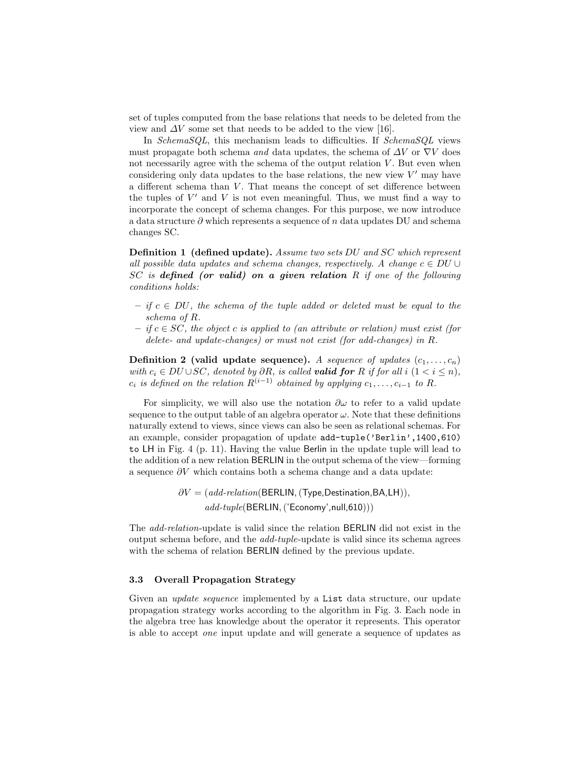set of tuples computed from the base relations that needs to be deleted from the view and  $\Delta V$  some set that needs to be added to the view [16].

In SchemaSQL, this mechanism leads to difficulties. If SchemaSQL views must propagate both schema and data updates, the schema of  $\Delta V$  or  $\nabla V$  does not propagate both schema and data updates, the schema of  $\Delta V$  or  $\nabla V$  does considering only data updates to the base relations, the new view  $V'$  may have<br>a different schema than  $V$ . That means the concept of set difference between the tuples of  $V'$  and  $V$  is not even meaningful. Thus, we must find a way to incorporate the concept of schema changes. For this purpose, we now introduce  $\frac{1}{1}$  in the corporation of  $\frac{1}{1}$  in the concept of schema changes. This purpose, we note that  $\frac{1}{1}$  is purposed.  $\alpha$  data structure  $\alpha$   $\alpha$   $\beta$  which represents a sequence of  $\alpha$ changes SC.

 $\Gamma$  and SC which represents the sets DU and SC which represent<br>all possible data updates and schema changes, respectively. A change  $c \in DU \cup$ <br>SC is **defined (or valid) on a given relation** B if one of the following  $SC$  is **defined (or valid) on a given relation**  $R$  if one of the following conditions holds:

- if  $c \in DU$ , the schema of the tuple added or deleted must be equal to the schema of R.
- $-$  if  $c ∈ SC$ , the object c is applied to (an attribute or relation) must exist (for delete-and undate-changes) or must not exist (for add-changes) in B delete- and update-changes) or must not exist (for add-changes) in R.

**Definition 2** (valid update sequence). A sequence of updates  $(c_1, \ldots, c_n)$ <br>with  $c_i \in DII \cup SC$  denoted by  $\partial R$  is called **valid for** R if for all i  $(1 \le i \le n)$ with  $c_i \in DU \cup SC$ , denoted by  $\partial R$ , is called **valid for** R if for all i  $(1 \lt i \leq n)$ ,<br>c. is defined on the relation  $R^{(i-1)}$  obtained by applying  $c_i$ ,  $c_i$ , to R  $c_i$  is defined on the relation  $R^{(i-1)}$  obtained by applying  $c_1, \ldots, c_{i-1}$  to R.

For simplicity, we will also use the notation  $\partial \omega$  to refer to a valid update sequence to the output table of an algebra operator  $\omega$ . Note that these definitions naturally extend to views, since views can also be seen as relational schemas. For an example, consider propagation of update add-tuple('Berlin', 1400, 610) to LH in Fig. 4 (p. 11). Having the value Berlin in the update tuple will lead to the addition of a new relation BERLIN in the output schema of the view—forming a sequence  $\partial V$  which contains both a schema change and a data update:  $\mathbf{v}$  which contains both a set which contains both a schema change and a data update:

> $\frac{1}{2}$  =  $\frac{1}{2}$   $\frac{1}{2}$   $\frac{1}{2}$   $\frac{1}{2}$   $\frac{1}{2}$   $\frac{1}{2}$   $\frac{1}{2}$   $\frac{1}{2}$   $\frac{1}{2}$   $\frac{1}{2}$   $\frac{1}{2}$   $\frac{1}{2}$   $\frac{1}{2}$   $\frac{1}{2}$   $\frac{1}{2}$   $\frac{1}{2}$   $\frac{1}{2}$   $\frac{1}{2}$   $\frac{1}{2}$   $\frac{1}{2}$   $\frac{1}{2}$ add-tuple(BERLIN),('Economy',num,620)))

The *add-relation*-update is valid since the relation BERLIN did not exist in the output schema before, and the *add-tuple*-update is valid since its schema agrees with the schema of relation BERLIN defined by the previous update. with the schema of relation BERLIN defined by the previous update.

#### 3.3 Overall Propagation Strategy

Given an *update sequence* implemented by a List data structure, our update propagation strategy works according to the algorithm in Fig. 3. Each node in the algebra tree has knowledge about the operator it represents. This operator is able to accept *one* input update and will generate a sequence of updates as is able to accept one input update and will generate a sequence of updates as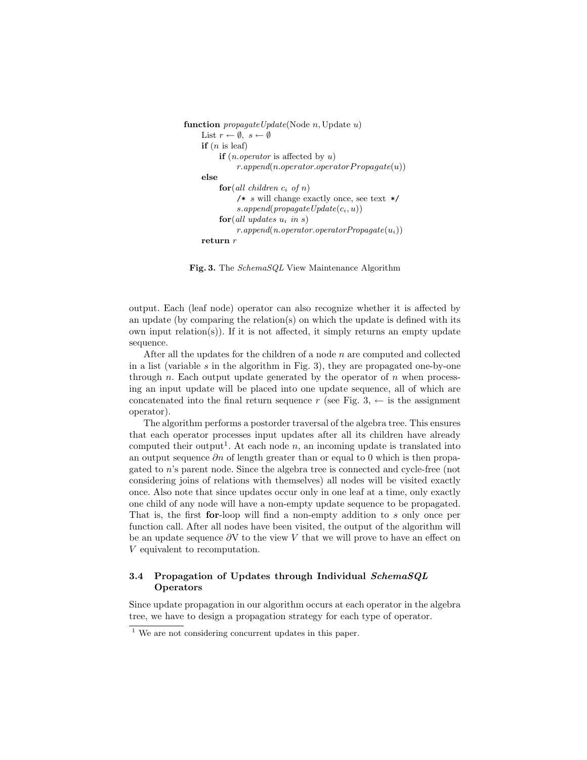```
f(x) = \text{List } r \leftarrow \emptyset, s \leftarrow \emptyset<br>
if (n \text{ is } \text{losf})if (n \text{ is leaf})<br>if (n \text{.operator} is affected by u)
                    \sum_{r \text{ } a \text{ } m \text{ } n}^{r}r_{\rm F}r.append(n.operator.operator.operator.operator.operator.operator.operator.operator.operator.operator.operator.operator.operator.operator.operator.operator.operator.operator.operator.operator.operator.operator.oper
         else
                   for(all children c<sub>i</sub> of n)<br>
\prime \ast s will change exactly once, see text \ast/
                              s.append(propagateUpdate(c_i, u))\textbf{for}(\textit{au} \textit{ upaates } u_i \textit{ in } s)<br>r annend(n operato
                              r. appear a(n. operator. operator Propagate(u_i))
```
Fig. 3. The SchemaSQL View Maintenance Algorithm

output. Each (leaf node) operator can also recognize whether it is affected by own input relation(s)). If it is not affected, it simply returns an empty update  $\frac{1}{2}$ own input relation(s)). If it is not affected, it simply returns an empty up date sequence.<br>After all the updates for the children of a node  $n$  are computed and collected

in a list (variable  $s$  in the algorithm in Fig. 3), they are propagated one-by-one through n. Each output update generated by the operator of n when processing an input update will be placed into one update sequence, all of which are concatenated into the final return sequence r (see Fig. 3,  $\leftarrow$  is the assignment<br>concretor) operator).<br>The algorithm performs a postorder traversal of the algebra tree. This ensures

that each operator processes input updates after all its children have already computed their output<sup>1</sup>. At each node n, an incoming update is translated into<br>an output sequence  $\partial p$  of length greater than or equal to 0 which is then propaan output sequence  $\partial n$  of length greater than or equal to 0 which is then propa-<br>gated to n's parent node. Since the algebra tree is connected and cycle-free (not considering joins of relations with themselves) all nodes will be visited exactly once. Also note that since updates occur only in one leaf at a time, only exactly one child of any node will have a non-empty update sequence to be propagated. That is, the first for-loop will find a non-empty addition to s only once per function call. After all nodes have been visited, the output of the algorithm will be an update sequence  $\partial V$  to the view V that we will prove to have an effect on be an update sequence ∂V to the view V that we will prove to have an effect on  $\mathbf{v}$  equivalent to recomputation.

### 3.4 Propagation of Updates through Individual SchemaSQL<br>Operators Operators

Since update propagation in our algorithm occurs at each operator in the algebra tree, we have to design a propagation strategy for each type of operator.

 $\frac{1 \text{ W}_0}{1 \text{ W}_0}$  or and considering consument undetes in this paper. We are not considering concurrent updates in this paper.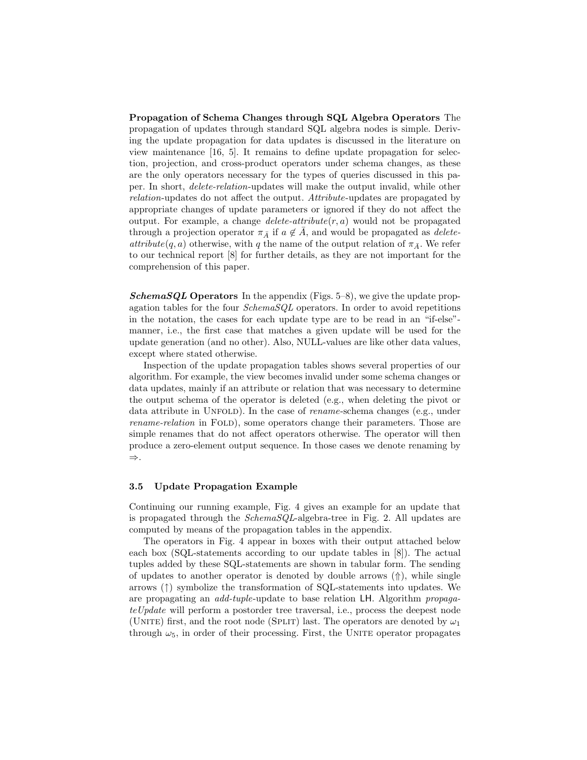**Propagation of Schema Changes through SQL Algebra Operators** The propagation of updates through standard SQL algebra nodes is simple. Deriving the update propagation for data updates is discussed in the literature on view maintenance  $[16, 5]$ . It remains to define update propagation for selection, projection, and cross-product operators under schema changes, as these are the only operators necessary for the types of queries discussed in this paper. In short, *delete-relation*-updates will make the output invalid, while other relation-updates do not affect the output. Attribute-updates are propagated by appropriate changes of update parameters or ignored if they do not affect the output. For example, a change *delete-attribute* $(r, a)$  would not be propagated through a projection operator  $\pi_{\bar{A}}$  if  $a \notin \bar{A}$ , and would be propagated as *delete-*<br>*attribute*(*c, a*) otherwise, with a the pame of the output relation of  $\pi_{\bar{A}}$ . We refer *attribute*(*q*, *a*) otherwise, with *q* the name of the output relation of  $\pi_{\bar{A}}$ . We refer to our technical report [8] for further details, as they are not important for the comprehension of this paper. comprehension of this paper.

**SchemaSQL Operators** In the appendix (Figs. 5–8), we give the update prop-<br>agation tables for the four *SchemaSQL* operators. In order to avoid repetitions in the notation, the cases for each update type are to be read in an "if-else"manner, i.e., the first case that matches a given update will be used for the update generation (and no other). Also, NULL-values are like other data values, except where stated otherwise.

Inspection of the update propagation tables shows several properties of our algorithm. For example, the view becomes invalid under some schema changes or data updates, mainly if an attribute or relation that was necessary to determine the output schema of the operator is deleted (e.g., when deleting the pivot or data attribute in UNFOLD). In the case of *rename*-schema changes (e.g., under rename-relation in FOLD), some operators change their parameters. Those are simple renames that do not affect operators otherwise. The operator will then  $\frac{1}{2}$  is the conormal structure of the operators of  $\frac{1}{2}$  and  $\frac{1}{2}$  there is a represent the operator  $\frac{1}{2}$  or  $\frac{1}{2}$  and  $\frac{1}{2}$  are  $\frac{1}{2}$  and  $\frac{1}{2}$  are  $\frac{1}{2}$  are  $\frac{1}{2}$  are  $\frac{1}{2}$   $\rightarrow$ ⇒.

### 3.5 Update Propagation Example

Continuing our running example, Fig. 4 gives an example for an update that is propagated through the  $SchemaSQL$ -algebra-tree in Fig. 2. All updates are computed by means of the propagation tables in the appendix.

The operators in Fig. 4 appear in boxes with their output attached below each box (SQL-statements according to our update tables in  $[8]$ ). The actual tuples added by these SQL-statements are shown in tabular form. The sending of updates to another operator is denoted by double arrows  $(\Uparrow)$ , while single<br>organization of SQL-statements into updates. We arrows (†) symbolize the transformation of SQL-statements into updates. We<br>are propagating an *add-tuple*-update to base relation LH. Algorithm *propaga* $teUpdate$  will perform a postorder tree traversal, i.e., process the deepest node (UNITE) first, and the root node (SPLIT) last. The operators are denoted by  $\omega_1$ (UNITE) first, and the root node (SPLIT) last. The operators are denoted by  $\omega_1$ <br>through  $\omega_1$  in order of their processing. First, the UNITE operator propagates through  $\omega_5$ , in order of their processing. First, the UNITE operator propagates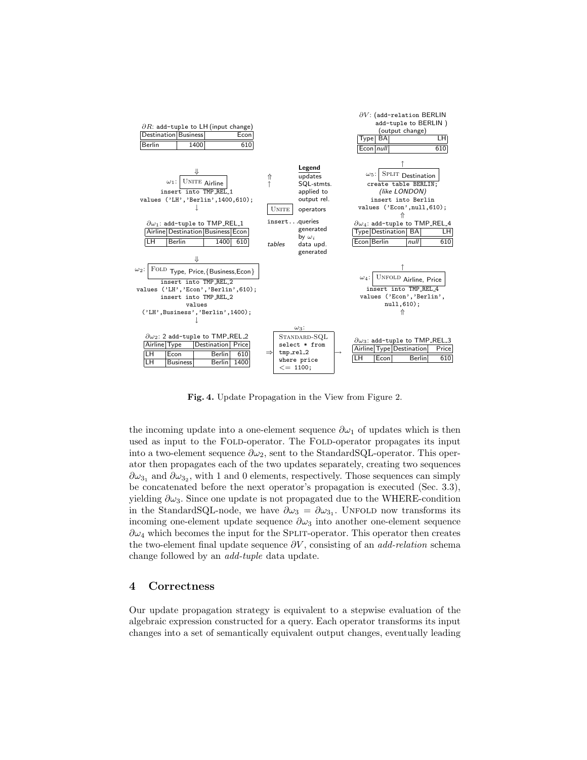

 $F - F$   $F - F$  were propagation in the View from  $F - F$ 

the incoming update into a one-element sequence  $\partial \omega_1$  of updates which is then used as input to the FOLD-operator. The FOLD-operator propagates its input into a two-element sequence  $\partial \omega_2$ , sent to the Standard SQL-operator. This operator then propagates each of the two updates separately, creating two sequences  $\partial \omega_{3}$  and  $\partial \omega_{3}$ , with 1 and 0 elements, respectively. Those sequences can simply be concatenated before the next operator's propagation is executed (Sec. 3.3), yielding  $\partial \omega_3$ . Since one update is not propagated due to the WHERE-condition in the Standard SQL-node, we have  $\partial \omega_3 = \partial \omega_{3_1}$ . UNFOLD now transforms its incoming one-element update sequence  $\partial \omega_3$  into another one-element sequence  $\partial \omega_4$  which becomes the input for the SPLIT-operator. This operator then creates the two-element final update sequence  $\partial V$ , consisting of an *add-relation* schema change followed by an *add-tuple* data update. change followed by an add-tuple data up defined by an add-tuple data update.

## 4 Correctness

Our update propagation strategy is equivalent to a stepwise evaluation of the algebraic expression constructed for a query. Each operator transforms its input algebraic expression constructed for a query. Each operator transforms its input<br>changes into a set of semantically equivalent output changes eventually leading changes into a set of semantically equivalent output changes, eventually leading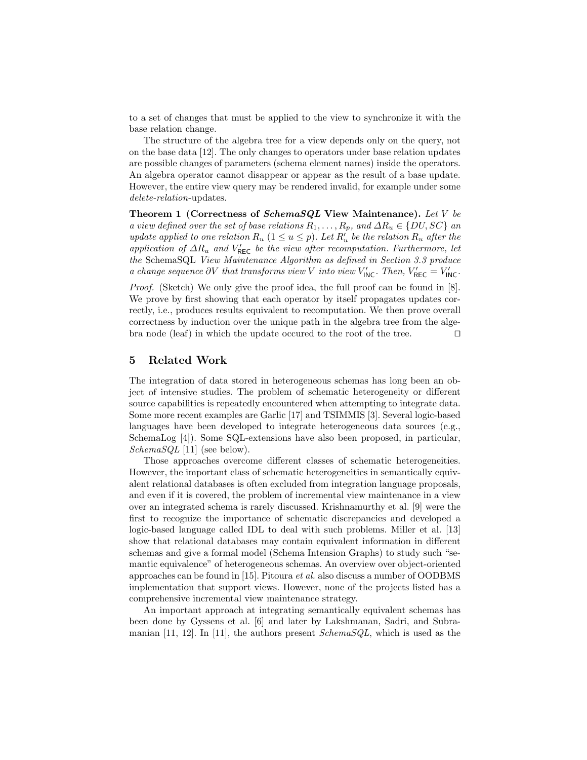to a set of changes that must be applied to the view to synchronize it with the

The structure of the algebra tree for a view depends only on the query, not on the base data [12]. The only changes to operators under base relation updates are possible changes of parameters (schema element names) inside the operators. An algebra operator cannot disappear or appear as the result of a base update. However, the entire view query may be rendered invalid, for example under some  $delete-relation$ -updates. delete-relation-updates.

a view defined over the set of base relations  $R_1, \ldots, R_p$ , and  $\Delta R_u \in \{DU, SC\}$  and  $u$  and  $u$  and  $u$  and  $u$  and  $u$  and  $u$  and  $u$  and  $u$  and  $u$  and  $u$  and  $u$  and  $u$  and  $u$  and  $u$  and  $u$  and  $u$  and  $u$  and update applied to one relation  $R_u$   $(1 \le u \le p)$ . Let  $R'_u$  be the relation  $R_u$  after the u be the recomputation. Furthermore, let<br>the Schamps of LRu Maintenance Algorithm as defined in Section 3.3 produce the SchemaSQL View Maintenance Algorithm as defined in Section 3.3 produce a change sequence  $\partial V$  that transforms view V into view V<sub>INC</sub>. Then, V<sub>KEC</sub> = V<sub>INC</sub>.

*Proof.* (Sketch) We only give the proof idea, the full proof can be found in [8]. We prove by first showing that each operator by itself propagates updates correctly, i.e., produces results equivalent to recomputation. We then prove overall correctness by induction over the unique path in the algebra tree from the algebra node (leaf) in which the update occured to the root of the tree.  $\Box$ 

# 5 Related Work

The integration of data stored in heterogeneous schemas has long been an object of intensive studies. The problem of schematic heterogeneity or different source capabilities is repeatedly encountered when attempting to integrate data. Some more recent examples are Garlic [17] and TSIMMIS [3]. Several logic-based languages have been developed to integrate heterogeneous data sources (e.g., SchemaLog  $[4]$ ). Some SQL-extensions have also been proposed, in particular,  $SchemaSQL$  [11] (see below).

Those approaches overcome different classes of schematic heterogeneities. However, the important class of schematic heterogeneities in semantically equivalent relational databases is often excluded from integration language proposals, and even if it is covered, the problem of incremental view maintenance in a view over an integrated schema is rarely discussed. Krishnamurthy et al. [9] were the first to recognize the importance of schematic discrepancies and developed a logic-based language called IDL to deal with such problems. Miller et al.  $[13]$ show that relational databases may contain equivalent information in different schemas and give a formal model (Schema Intension Graphs) to study such "semantic equivalence" of heterogeneous schemas. An overview over object-oriented approaches can be found in [15]. Pitoura  $et al.$  also discuss a number of OODBMS implementation that support views. However, none of the projects listed has a comprehensive incremental view maintenance strategy.

An important approach at integrating semantically equivalent schemas has been done by Gyssens et al. [6] and later by Lakshmanan, Sadri, and Subramanian [11, 12]. In [11], the authors present  $SchemaSQL$ , which is used as the manian  $[-1, -1]$ . In  $[-1]$ , the authors present Schemas $\sqrt{2}$ , which is used as the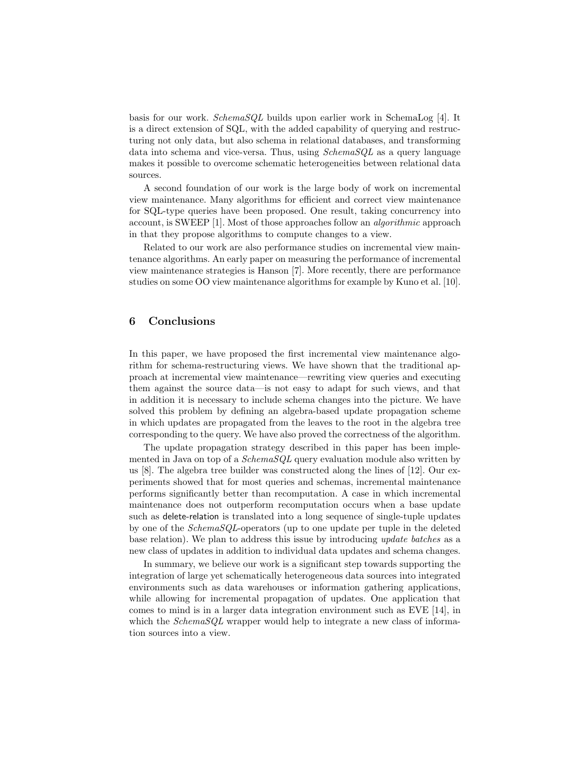basis for our work. *SchemaSQL* builds upon earlier work in SchemaLog [4]. It is a direct extension of SQL, with the added capability of querying and restructuring not only data, but also schema in relational databases, and transforming data into schema and vice-versa. Thus, using  $Schema SQL$  as a query language  $\frac{d}{dx}$  is the schema and vice-version  $\frac{d}{dx}$  and vice-versional data makes it possible to overcome schematic heterogeneities between relational data makes it possible to overcome schematic heterogeneities between relational data sources.<br>A second foundation of our work is the large body of work on incremental

view maintenance. Many algorithms for efficient and correct view maintenance for SQL-type queries have been proposed. One result, taking concurrency into account, is SWEEP [1]. Most of those approaches follow an *algorithmic* approach in that they propose algorithms to compute changes to a view.

Related to our work are also performance studies on incremental view maintenance algorithms. An early paper on measuring the performance of incremental view maintenance strategies is Hanson  $[7]$ . More recently, there are performance studies on some  $\overline{O}O$  view maintenance algorithms for example by Kuno et al. [10]. studies on some OO view maintenance algorithms for example by Kuno et al. [10].

#### 6 6 Conclusions

In this paper, we have proposed the first incremental view maintenance algo-<br>rithm for schema-restructuring views. We have shown that the traditional approach at incremental view maintenance—rewriting view queries and executing them against the source data—is not easy to adapt for such views, and that in addition it is necessary to include schema changes into the picture. We have solved this problem by defining an algebra-based update propagation scheme in which updates are propagated from the leaves to the root in the algebra tree corresponding to the query. We have also proved the correctness of the algorithm.

The update propagation strategy described in this paper has been implemented in Java on top of a  $SchemaSQL$  query evaluation module also written by us  $[8]$ . The algebra tree builder was constructed along the lines of  $[12]$ . Our experiments showed that for most queries and schemas, incremental maintenance performs significantly better than recomputation. A case in which incremental maintenance does not outperform recomputation occurs when a base update such as delete-relation is translated into a long sequence of single-tuple updates by one of the *SchemaSQL*-operators (up to one update per tuple in the deleted base relation). We plan to address this issue by introducing *update batches* as a has relative relationships in addition to individual data updates and schema changes.

In summary, we believe our work is a significant step towards supporting the integration of large yet schematically heterogeneous data sources into integrated environments such as data warehouses or information gathering applications, while allowing for incremental propagation of updates. One application that comes to mind is in a larger data integration environment such as  $EVE$  [14], in which the  $Schema SQL$  wrapper would help to integrate a new class of information sources into a view.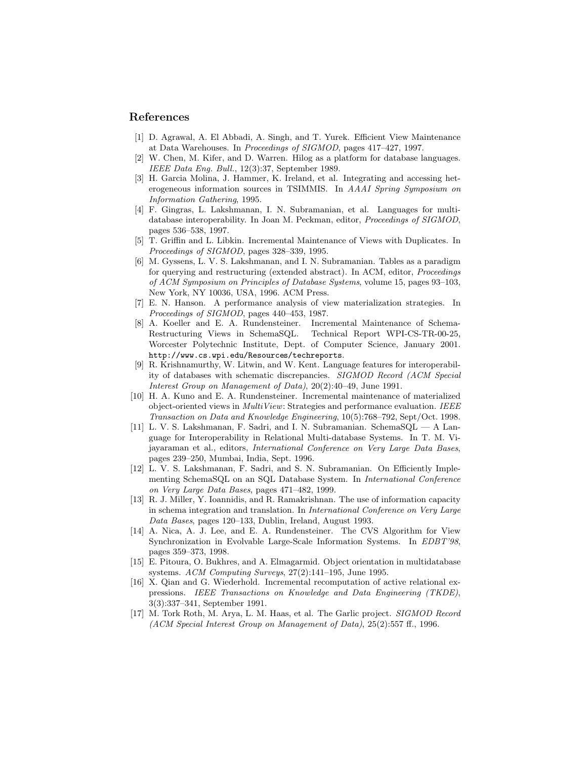- [1] D. Agrawal, A. El Abbadi, A. Singh, and T. Yurek. Efficient View Maintenance at Data Warehouses. In *Proceedings of SIGMOD*, pages 417–427, 1997.
- [2] W. Chen, M. Kifer, and D. Warren. Hilog as a platform for database languages.  $IEEE Data Eng. Bull., 12(3):37, September 1989.$
- [3] H. Garcia Molina, J. Hammer, K. Ireland, et al. Integrating and accessing heterogeneous information sources in TSIMMIS. In AAAI Spring Symposium on Information Gathering, 1995.
- [4] F. Gingras, L. Lakshmanan, I. N. Subramanian, et al. Languages for multidatabase interoperability. In Joan M. Peckman, editor, *Proceedings of SIGMOD*, pages 536-538, 1997.
- [5] T. Griffin and L. Libkin. Incremental Maintenance of Views with Duplicates. In Proceedings of SIGMOD, pages 328-339, 1995.
- [6] M. Gyssens, L. V. S. Lakshmanan, and I. N. Subramanian. Tables as a paradigm for querying and restructuring (extended abstract). In ACM, editor, *Proceedings* of ACM Symposium on Principles of Database Systems, volume 15, pages 93-103, New York, NY 10036, USA, 1996. ACM Press.
- [7] E. N. Hanson. A performance analysis of view materialization strategies. In Proceedings of SIGMOD, pages 440–453, 1987.
- [8] A. Koeller and E. A. Rundensteiner. Incremental Maintenance of Schema-Restructuring Views in SchemaSQL. Technical Report WPI-CS-TR-00-25, Worcester Polytechnic Institute, Dept. of Computer Science, January 2001. http://www.cs.wpi.edu/Resources/techreports.
- [9] R. Krishnamurthy, W. Litwin, and W. Kent. Language features for interoperability of databases with schematic discrepancies. SIGMOD Record (ACM Special Interest Group on Management of Data),  $20(2):40-49$ , June 1991.
- [10] H. A. Kuno and E. A. Rundensteiner. Incremental maintenance of materialized  $\omega$ bject-oriented views in *MultiView*: Strategies and performance evaluation. IEEE Transaction on Data and Knowledge Engineering,  $10(5)$ :768-792, Sept/Oct. 1998.
- [11] L. V. S. Lakshmanan, F. Sadri, and I. N. Subramanian. Schema $SQL A$  Language for Interoperability in Relational Multi-database Systems. In T. M. Vijayaraman et al., editors, *International Conference on Very Large Data Bases*, pages 239–250, Mumbai, India, Sept. 1996.
- [12] L. V. S. Lakshmanan, F. Sadri, and S. N. Subramanian. On Efficiently Implementing SchemaSQL on an SQL Database System. In International Conference on Very Large Data Bases, pages  $471-482$ , 1999.
- [13] R. J. Miller, Y. Ioannidis, and R. Ramakrishnan. The use of information capacity in schema integration and translation. In *International Conference on Very Large* Data Bases, pages 120–133, Dublin, Ireland, August 1993.
- [14] A. Nica, A. J. Lee, and E. A. Rundensteiner. The CVS Algorithm for View  $\frac{1}{2}$  A. Nicarregion in Evolvable Largo Scale Information Systems In EDBT<sup>1</sup>08.  $S_2$  Systems. In Evolvation in Eq. (1998) in Eq. (1998) in Eq. (1998) in Eq. (1998) in Eq. (1998) in Eq. (1998) in Eq. (1998) in Eq. (1998) in Eq. (1998) in Eq. (1998) in Eq. (1998) in Eq. (1998) in Eq. (1998) in Eq. (19 pages 359–373, 1998.<br>
[15] E. Pitoura, O. Bukhres, and A. Elmagarmid. Object orientation in multidatabase
- systems. ACM Computing Surveys,  $27(2)$ :141-195, June 1995.
- [16] X. Qian and G. Wiederhold. Incremental recomputation of active relational expressions. IEEE Transactions on Knowledge and Data Engineering (TKDE),  $3(3):337-341$ , September 1991.
- [17] M. Tork Roth, M. Arya, L. M. Haas, et al. The Garlic project. SIGMOD Record  $(ACM Special Interest Group on Management of Data), 25(2): 557 ff., 1996.$ (ACM  $\mathcal{L}$  is a set of  $\mathcal{L}$  interest  $\mathcal{L}$  interest  $\mathcal{L}$  is the Data of Data (1996).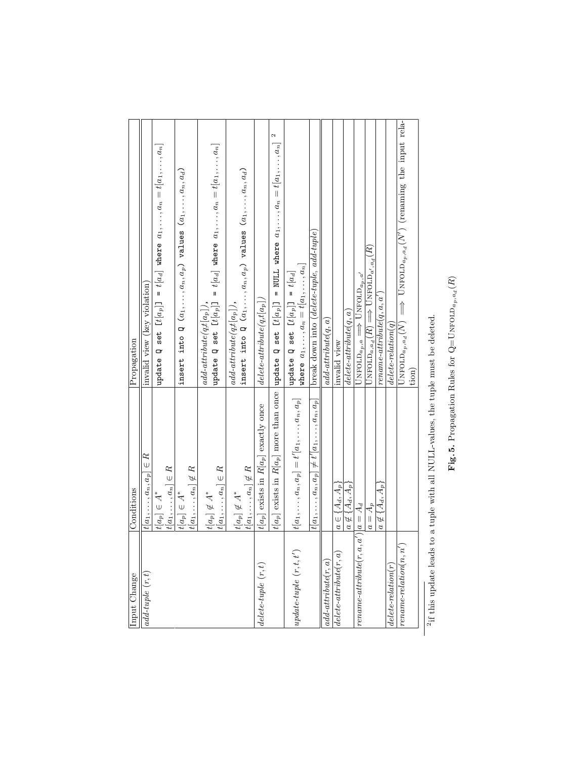| Input Change                                  | Conditions                                           | Propagation                                                                                                             |
|-----------------------------------------------|------------------------------------------------------|-------------------------------------------------------------------------------------------------------------------------|
| $add\text{-}tuple~(r,t)$                      | $\in R$<br>$t[a_1,\ldots,a_n,a_p]$                   | invalid view (key violation)                                                                                            |
|                                               | $t[a_p]\in A^*$                                      | update Q set $[t[a_p]$ ] = $t[a_d]$ where $a_1, \ldots, a_n = t[a_1, \ldots, a_n]$                                      |
|                                               | $t[a_1,\ldots,a_n] \in R$                            |                                                                                                                         |
|                                               | $t[a_p] \in A^*$                                     | insert into $Q$ $(a_1, , a_n, a_p)$ values $(a_1, , a_n, a_d)$                                                          |
|                                               | $t[a_1,\ldots,a_n] \notin R$                         |                                                                                                                         |
|                                               |                                                      |                                                                                                                         |
|                                               | $t[a_1,\ldots,a_n]\in R$<br>$t[a_p] \not\in A^*$     | $add\text{-}attribute(q_t[t_{ap}]),$<br>update Q set $[t[a_p]] = t[a_d]$ where $a_1, \ldots, a_n = t[a_1, \ldots, a_n]$ |
|                                               | $t[a_p] \notin A^*$                                  | $\mathit{add-attribute}(q, t[a_p]),$                                                                                    |
|                                               | $t[a_1,\ldots,a_n]\not\in R$                         | insert into $Q$ $(a_1, \ldots, a_n, a_p)$ values $(a_1, \ldots, a_n, a_d)$                                              |
| $delete\text{-}tuple (r, t)$                  | $t[a_p]$ exists in $R[a_p]$ exactly once             | $delete-attribute(q, t[a_p])$                                                                                           |
|                                               | $t[a_p]$ exists in $R[a_p]$ more than once           | Z<br>NULL where $a_1, \ldots, a_n = t[a_1, \ldots, a_n]$<br>$\texttt{[d}^{a}$ ate Q set $[t[a_p]$ ] =                   |
| $update\text{-}tuple \ (\boldsymbol{r},t,t')$ |                                                      | update Q set $[t[a_p]$ ] = $t[a_d]$                                                                                     |
|                                               | $t[a_1,\ldots,a_n,a_p]=t'[a_1,\ldots,a_n,a_p]$       | where $a_1, \ldots, a_n = t [a_1, \ldots, a_n]$                                                                         |
|                                               | $[t[a_1,\ldots,a_n,a_p] \neq t'[a_1,\ldots,a_n,a_p]$ | break down into (delete-tuple, add-tuple)                                                                               |
| $add-attribute(r, a)$                         |                                                      | $add\text{-}attribute(q,a)$                                                                                             |
| $delete-attribute(r, a)$                      | $a \in \{A_d, A_p\}$                                 | invalid view                                                                                                            |
|                                               | $a \notin \{A_d, A_p\}$                              | $\emph{delete-attribute}(q,a)$                                                                                          |
| $\emph{remainder-attribute}(r,a,a')$          | $ a = A_d$                                           | $\text{UNFOLD}_{a_p,a} \Longrightarrow \text{UNFOLD}_{a_p,a'}$                                                          |
|                                               | $a = A_p$                                            | $\mathrm{U}\textsc{NPOLO}_{a,a_d}(R) \Longrightarrow \mathrm{U}\textsc{NPOLO}_{a',a_d}(R)$                              |
|                                               | $a \not\in \{A_d, A_p\}$                             | $rename-attribute(q,a,a^{\prime}% (d-1)+q^{\prime},$                                                                    |
| $delete$ -relation $(r)$                      |                                                      | $delete\text{-}relation(q)$                                                                                             |
| $\emph{remainder-relation}(n,n)$              |                                                      | $U{\rm NFOLD}_{ap,ad}(N) \implies U{\rm NFOLD}_{ap,ad}(N')$ (renaming the input rela-                                   |
|                                               |                                                      | tion)                                                                                                                   |
|                                               |                                                      |                                                                                                                         |

 $^{-2}{\rm if}$  this update leads to a tuple with all NULL-values, the tuple must be deleted. 2if this update leads to a tuple with all NULL-values, the tuple must be deleted.

 $\mathbf{Fig. 5.}$  Propagation Rules for  $\mathbf{Q}\text{=} \text{UNFOLD}_{a_p,a_d}(R)$ Fig. 5. Propagation Rules for  $Q=$  UNFOLD $_{a_p,a_d}(R)$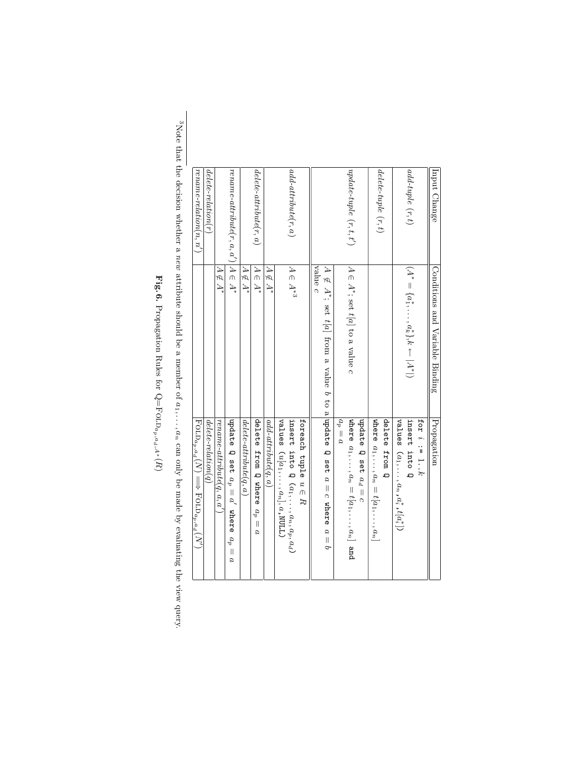| Input Change                                                              | Conditions and Variable Binding                                                    | Propagation                                                                                   |
|---------------------------------------------------------------------------|------------------------------------------------------------------------------------|-----------------------------------------------------------------------------------------------|
|                                                                           |                                                                                    | for $i := 1$ . $k$                                                                            |
| $add\text{-}\mathit{tuple}\ (r,t)$                                        | $(A^*=\{a^*_1,\ldots,a^*_k\},k\leftarrow  A^* )$                                   | insert into Q                                                                                 |
|                                                                           |                                                                                    | values $(a_1,\ldots,a_n,a_i^*,t[a_i^*])$                                                      |
|                                                                           |                                                                                    | delete from Q                                                                                 |
| $delete\text{-}tuple (r, t)$                                              |                                                                                    | where $a_1, \ldots, a_n = t[a_1, \ldots, a_n]$                                                |
|                                                                           |                                                                                    | update Q set $a_d =$                                                                          |
| $update\text{-}tuple \ (\boldsymbol{r}, \boldsymbol{t}, \boldsymbol{t}')$ | $A \in A^*$ ; set $t[a]$ to a value c                                              | where $a_1, \ldots, a_n = t[a_1, \ldots, a_n]$ and                                            |
|                                                                           |                                                                                    | $a_p = a$                                                                                     |
|                                                                           | $A \notin A^*$ ; set $t[a]$ from a value b to alupdate Q set $a = c$ where $a = b$ |                                                                                               |
|                                                                           | value c                                                                            |                                                                                               |
|                                                                           |                                                                                    | foreach tuple $u \in R$                                                                       |
| $add\text{-}attribute(r, a)$                                              | $A\in A^{*3}$                                                                      | insert into Q $(a_1, \ldots, a_n, a_p, a_d)$                                                  |
|                                                                           |                                                                                    | values $(u[a_1, \ldots, a_n], a, \text{NUL})$                                                 |
|                                                                           | $A\not\in A^*$                                                                     | $add\text{-}attribute(q, a)$                                                                  |
| $delete-attribute(r, a)$                                                  | $A\in A^*$                                                                         | delete from Q where<br>$a_p$<br>$\parallel$<br>$\alpha$                                       |
|                                                                           | $A\not\in A^*$                                                                     | $delete-attribute(q, a)$                                                                      |
| $\mathit{remove-attribute}(r,a,a') A \in A^*$                             |                                                                                    | update Q set $a_p = a'$ where $a_p$<br>.<br>II<br>$\mathbf{c}$                                |
|                                                                           | $A\not\in A^*$                                                                     | $\emph{rename-attribute}(q,a,a')$                                                             |
| $\textit{delete-relation}(r)$                                             |                                                                                    | $delete-relation(q)$                                                                          |
| $\emph{rename-relation}(n,n')$                                            |                                                                                    | ${\rm Fol}_{{\rm D}{\rm D}\, a_p, a_d}(N) \Longrightarrow {\rm Fol}_{{\rm D}\, a_p, a_d}(N')$ |
|                                                                           |                                                                                    |                                                                                               |

3Note  $_{\rm{that}}$ the decision whether a new attribute should be a member of  $a_1, \ldots, a_n$ can only a<br>a made  $\rm \dot{A}$ evaluating the view query.

Fig. ္ Propagation Rules for ျ  ${\rm FOLD}_{ap,aa,d^{\ast}A^{\ast}}(R)$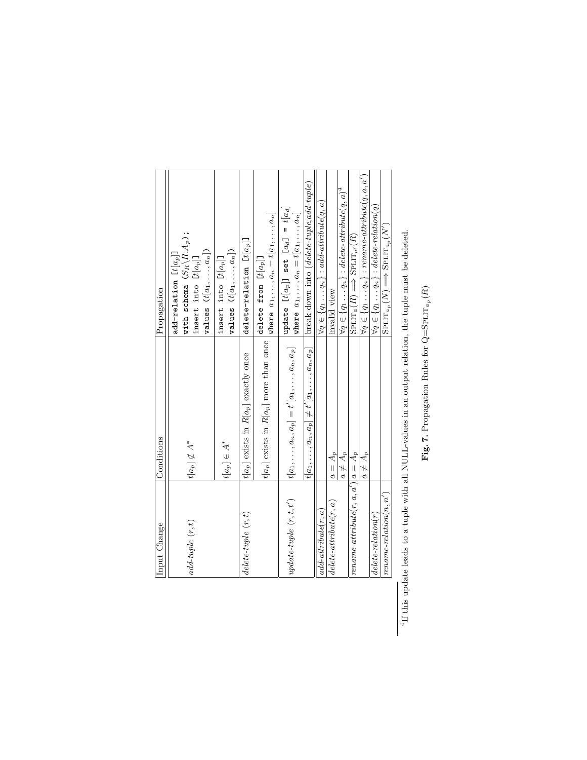| Input Change                                                                                 | Conditions                                          | Propagation                                                                                                                    |
|----------------------------------------------------------------------------------------------|-----------------------------------------------------|--------------------------------------------------------------------------------------------------------------------------------|
| $add\text{-}tuple (r, t)$                                                                    | $t[a_p] \not\in A^*$                                | with schema $(S_R\backslash R.A_p)$ ;<br>values $(t[a_1,\ldots,a_n])$<br>$add-reletation$ $[t a_p]$<br>insert into $[t[a_p]$ ] |
|                                                                                              | $t[a_p]\in A^*$                                     | values $(t[a_1,\ldots,a_n])$<br>insert into $[t[a_p]]$                                                                         |
| $delete-tuple(r,t)$                                                                          | $t[a_p]$ exists in $R[a_p]$ exactly once            | delete-relation $[t a_p]$ ]                                                                                                    |
|                                                                                              | $t[a_p]$ exists in $R[a_p]$ more than once          | where $a_1, \ldots, a_n = t [a_1, \ldots, a_n]$<br>delete from $[t a_p]$ ]                                                     |
| $\vert update\text{-}tuple\ (r,t,t')$                                                        | $t[a_1,\ldots,a_n,a_p]=t'[a_1,\ldots,a_n,a_p]$      | update $[t[a_p]$ ] set $[a_d]$ = $t[a_d]$<br>where $a_1, \ldots, a_n = t[a_1, \ldots, a_n]$                                    |
|                                                                                              | $t[a_1,\ldots,a_n,a_p] \neq t'[a_1,\ldots,a_n,a_p]$ | break down into (delete-tuple, add-tuple)                                                                                      |
| $ add\text{-}attribute(r, a) $                                                               |                                                     | $\forall q \in \{q_1 \dots q_n\} : \textit{add-attribute}(q,a)$                                                                |
| $\label{def:def} \begin{array}{ll} \hspace{-5mm} \textit{delete-attribute}(r,a) \end{array}$ | $a = A_p$                                           | invalid view                                                                                                                   |
|                                                                                              | $a \neq A_p$                                        | $\forall q \in \{q_1 \dots q_n\} : \mathit{delete-attribute}(q,a)^4$                                                           |
| $ remainder\text{-}attribute(r, a, a') a = A_p$                                              | $a \neq A_p$                                        | $\forall q \in \{q_1 \dots q_n\}$ : rename-attribute( $q, a, a'$ )<br>$\text{Strn}_a(R) \Longrightarrow \text{Strn}_{a'}(R)$   |
| $delete-relation(r)$                                                                         |                                                     | $\forall q \in \{q_1 \dots q_n\} : \textit{delete-relation}(q)$                                                                |
| $ $ rename-relation $(n, n')$                                                                |                                                     | $\operatorname{Schr}_{a_p}(N) \Longrightarrow \operatorname{Schr}_{a_p}(N')$                                                   |
|                                                                                              |                                                     |                                                                                                                                |

 $^{-4}$  If this update leads to a tuple with all NULL-values in an output relation, the tuple must be deleted. 4If this update leads to a tuple with all NULL-values in an output relation, the tuple must be deleted.

Fig. 7. Propagation Rules for  $\mathbf{Q}\text{=} \text{SPLIT}_{a_p}(R)$ **Fig. 7.** Propagation Rules for  $Q=$ SPLIT $_{a_p}(R)$